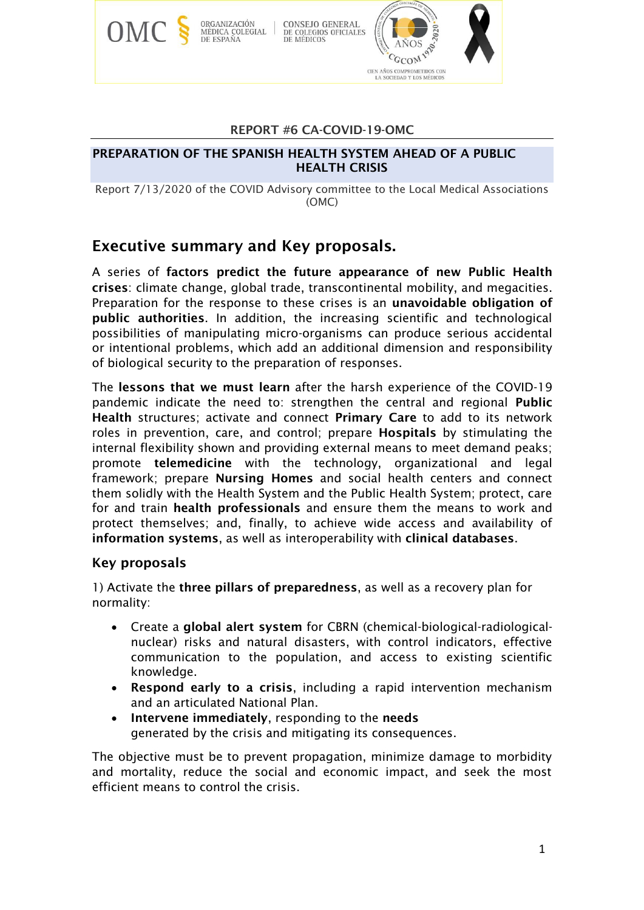

#### REPORT #6 CA-COVID-19-OMC

#### PREPARATION OF THE SPANISH HEALTH SYSTEM AHEAD OF A PUBLIC HEALTH CRISIS

Report 7/13/2020 of the COVID Advisory committee to the Local Medical Associations (OMC)

## Executive summary and Key proposals.

A series of factors predict the future appearance of new Public Health crises: climate change, global trade, transcontinental mobility, and megacities. Preparation for the response to these crises is an unavoidable obligation of public authorities. In addition, the increasing scientific and technological possibilities of manipulating micro-organisms can produce serious accidental or intentional problems, which add an additional dimension and responsibility of biological security to the preparation of responses.

The lessons that we must learn after the harsh experience of the COVID-19 pandemic indicate the need to: strengthen the central and regional Public Health structures; activate and connect Primary Care to add to its network roles in prevention, care, and control; prepare Hospitals by stimulating the internal flexibility shown and providing external means to meet demand peaks; promote telemedicine with the technology, organizational and legal framework; prepare Nursing Homes and social health centers and connect them solidly with the Health System and the Public Health System; protect, care for and train health professionals and ensure them the means to work and protect themselves; and, finally, to achieve wide access and availability of information systems, as well as interoperability with clinical databases.

#### Key proposals

1) Activate the three pillars of preparedness, as well as a recovery plan for normality:

- Create a global alert system for CBRN (chemical-biological-radiologicalnuclear) risks and natural disasters, with control indicators, effective communication to the population, and access to existing scientific knowledge.
- Respond early to a crisis, including a rapid intervention mechanism and an articulated National Plan.
- Intervene immediately, responding to the needs generated by the crisis and mitigating its consequences.

The objective must be to prevent propagation, minimize damage to morbidity and mortality, reduce the social and economic impact, and seek the most efficient means to control the crisis.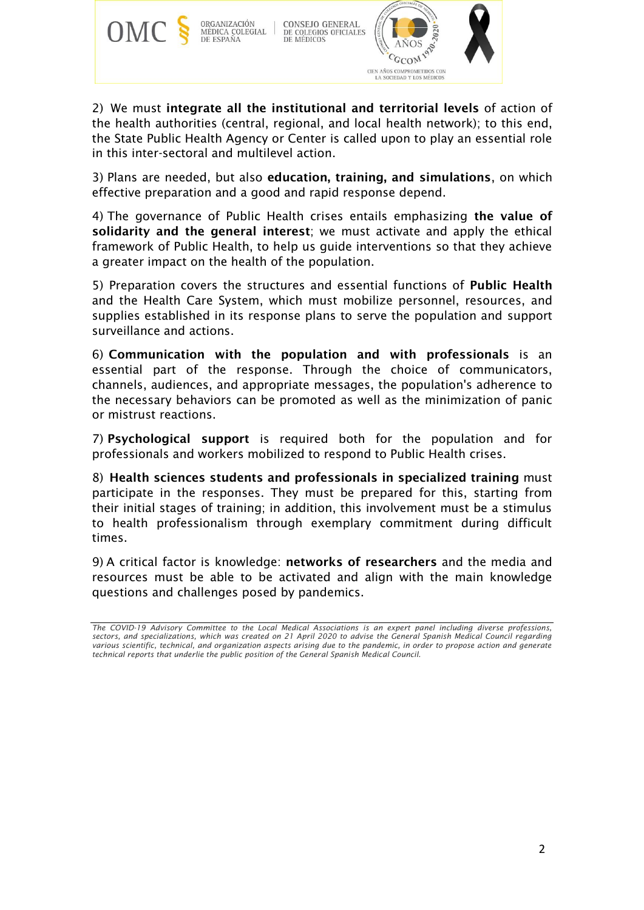

ORGANIZACIÓN<br>MÉDICA COLEGIAL |<br>DE ESPAÑA



CIEN AÑOS COMPROMETIDOS CON<br>LA SOCIEDAD Y LOS MÉDICOS

2) We must integrate all the institutional and territorial levels of action of the health authorities (central, regional, and local health network); to this end, the State Public Health Agency or Center is called upon to play an essential role in this inter-sectoral and multilevel action.

3) Plans are needed, but also education, training, and simulations, on which effective preparation and a good and rapid response depend.

4) The governance of Public Health crises entails emphasizing the value of solidarity and the general interest; we must activate and apply the ethical framework of Public Health, to help us guide interventions so that they achieve a greater impact on the health of the population.

5) Preparation covers the structures and essential functions of Public Health and the Health Care System, which must mobilize personnel, resources, and supplies established in its response plans to serve the population and support surveillance and actions.

6) Communication with the population and with professionals is an essential part of the response. Through the choice of communicators, channels, audiences, and appropriate messages, the population's adherence to the necessary behaviors can be promoted as well as the minimization of panic or mistrust reactions.

7) Psychological support is required both for the population and for professionals and workers mobilized to respond to Public Health crises.

8) Health sciences students and professionals in specialized training must participate in the responses. They must be prepared for this, starting from their initial stages of training; in addition, this involvement must be a stimulus to health professionalism through exemplary commitment during difficult times.

9) A critical factor is knowledge: networks of researchers and the media and resources must be able to be activated and align with the main knowledge questions and challenges posed by pandemics.

*The COVID-19 Advisory Committee to the Local Medical Associations is an expert panel including diverse professions, sectors, and specializations, which was created on 21 April 2020 to advise the General Spanish Medical Council regarding various scientific, technical, and organization aspects arising due to the pandemic, in order to propose action and generate technical reports that underlie the public position of the General Spanish Medical Council.*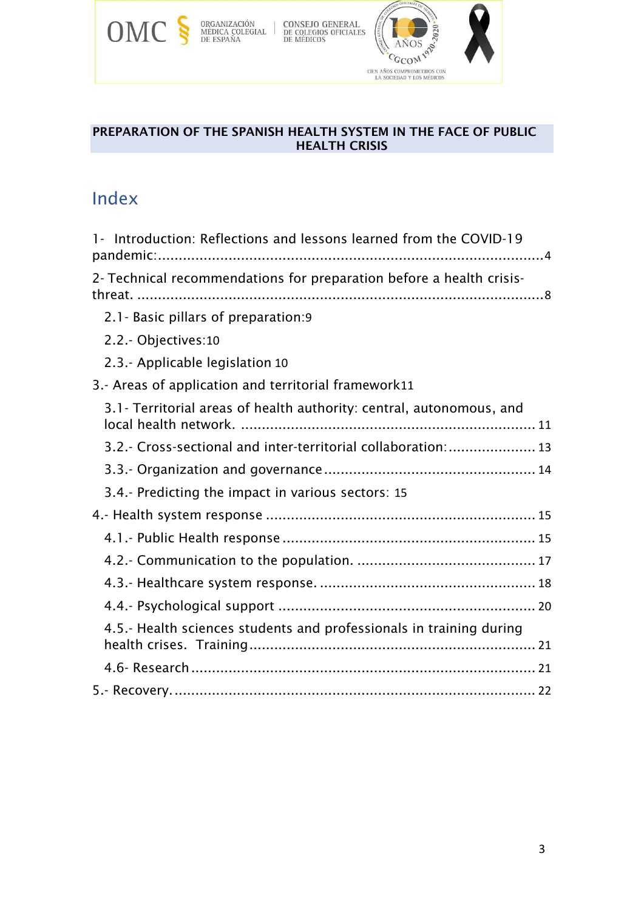

#### PREPARATION OF THE SPANISH HEALTH SYSTEM IN THE FACE OF PUBLIC HEALTH CRISIS

# Index

| 1- Introduction: Reflections and lessons learned from the COVID-19    |
|-----------------------------------------------------------------------|
| 2- Technical recommendations for preparation before a health crisis-  |
| 2.1 Basic pillars of preparation:9                                    |
| 2.2.- Objectives:10                                                   |
| 2.3.- Applicable legislation 10                                       |
| 3.- Areas of application and territorial framework11                  |
| 3.1 - Territorial areas of health authority: central, autonomous, and |
| 3.2.- Cross-sectional and inter-territorial collaboration:  13        |
|                                                                       |
| 3.4.- Predicting the impact in various sectors: 15                    |
|                                                                       |
|                                                                       |
|                                                                       |
|                                                                       |
|                                                                       |
| 4.5.- Health sciences students and professionals in training during   |
|                                                                       |
|                                                                       |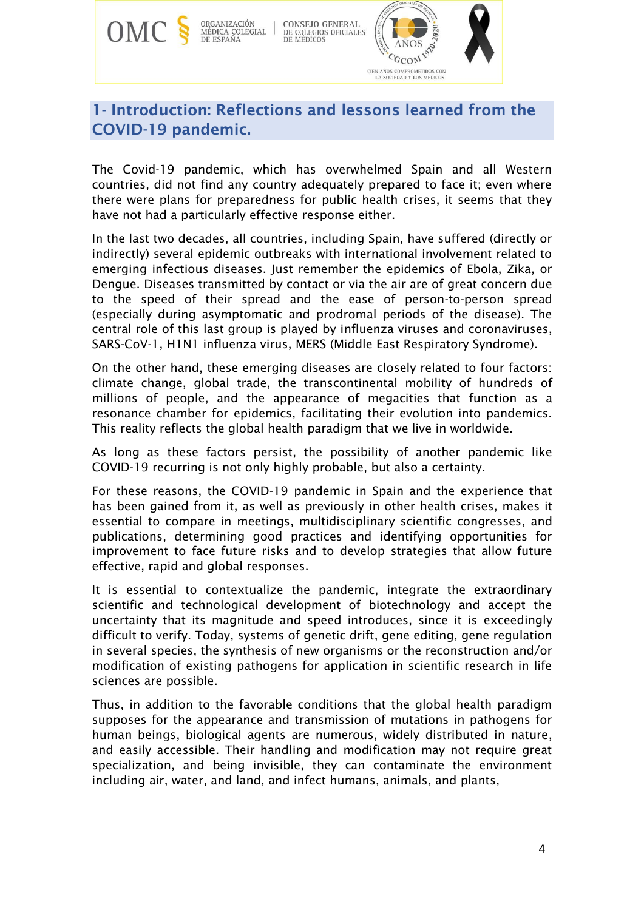

## <span id="page-3-0"></span>1- Introduction: Reflections and lessons learned from the COVID-19 pandemic.

The Covid-19 pandemic, which has overwhelmed Spain and all Western countries, did not find any country adequately prepared to face it; even where there were plans for preparedness for public health crises, it seems that they have not had a particularly effective response either.

In the last two decades, all countries, including Spain, have suffered (directly or indirectly) several epidemic outbreaks with international involvement related to emerging infectious diseases. Just remember the epidemics of Ebola, Zika, or Dengue. Diseases transmitted by contact or via the air are of great concern due to the speed of their spread and the ease of person-to-person spread (especially during asymptomatic and prodromal periods of the disease). The central role of this last group is played by influenza viruses and coronaviruses, SARS-CoV-1, H1N1 influenza virus, MERS (Middle East Respiratory Syndrome).

On the other hand, these emerging diseases are closely related to four factors: climate change, global trade, the transcontinental mobility of hundreds of millions of people, and the appearance of megacities that function as a resonance chamber for epidemics, facilitating their evolution into pandemics. This reality reflects the global health paradigm that we live in worldwide.

As long as these factors persist, the possibility of another pandemic like COVID-19 recurring is not only highly probable, but also a certainty.

For these reasons, the COVID-19 pandemic in Spain and the experience that has been gained from it, as well as previously in other health crises, makes it essential to compare in meetings, multidisciplinary scientific congresses, and publications, determining good practices and identifying opportunities for improvement to face future risks and to develop strategies that allow future effective, rapid and global responses.

It is essential to contextualize the pandemic, integrate the extraordinary scientific and technological development of biotechnology and accept the uncertainty that its magnitude and speed introduces, since it is exceedingly difficult to verify. Today, systems of genetic drift, gene editing, gene regulation in several species, the synthesis of new organisms or the reconstruction and/or modification of existing pathogens for application in scientific research in life sciences are possible.

Thus, in addition to the favorable conditions that the global health paradigm supposes for the appearance and transmission of mutations in pathogens for human beings, biological agents are numerous, widely distributed in nature, and easily accessible. Their handling and modification may not require great specialization, and being invisible, they can contaminate the environment including air, water, and land, and infect humans, animals, and plants,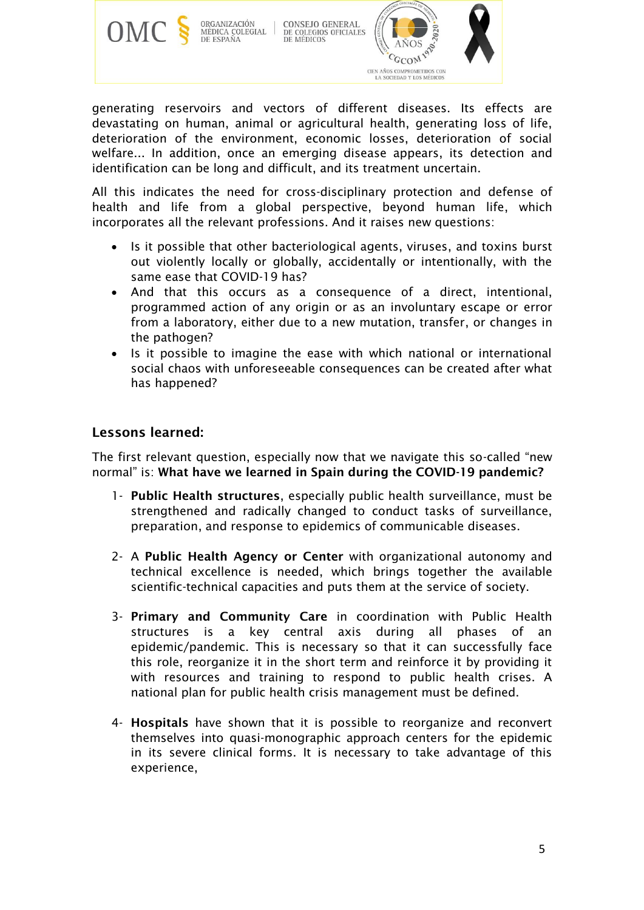

generating reservoirs and vectors of different diseases. Its effects are devastating on human, animal or agricultural health, generating loss of life, deterioration of the environment, economic losses, deterioration of social welfare... In addition, once an emerging disease appears, its detection and identification can be long and difficult, and its treatment uncertain.

All this indicates the need for cross-disciplinary protection and defense of health and life from a global perspective, beyond human life, which incorporates all the relevant professions. And it raises new questions:

- Is it possible that other bacteriological agents, viruses, and toxins burst out violently locally or globally, accidentally or intentionally, with the same ease that COVID-19 has?
- And that this occurs as a consequence of a direct, intentional, programmed action of any origin or as an involuntary escape or error from a laboratory, either due to a new mutation, transfer, or changes in the pathogen?
- Is it possible to imagine the ease with which national or international social chaos with unforeseeable consequences can be created after what has happened?

#### Lessons learned:

The first relevant question, especially now that we navigate this so-called "new normal" is: What have we learned in Spain during the COVID-19 pandemic?

- 1- Public Health structures, especially public health surveillance, must be strengthened and radically changed to conduct tasks of surveillance, preparation, and response to epidemics of communicable diseases.
- 2- A Public Health Agency or Center with organizational autonomy and technical excellence is needed, which brings together the available scientific-technical capacities and puts them at the service of society.
- 3- Primary and Community Care in coordination with Public Health structures is a key central axis during all phases of an epidemic/pandemic. This is necessary so that it can successfully face this role, reorganize it in the short term and reinforce it by providing it with resources and training to respond to public health crises. A national plan for public health crisis management must be defined.
- 4- Hospitals have shown that it is possible to reorganize and reconvert themselves into quasi-monographic approach centers for the epidemic in its severe clinical forms. It is necessary to take advantage of this experience,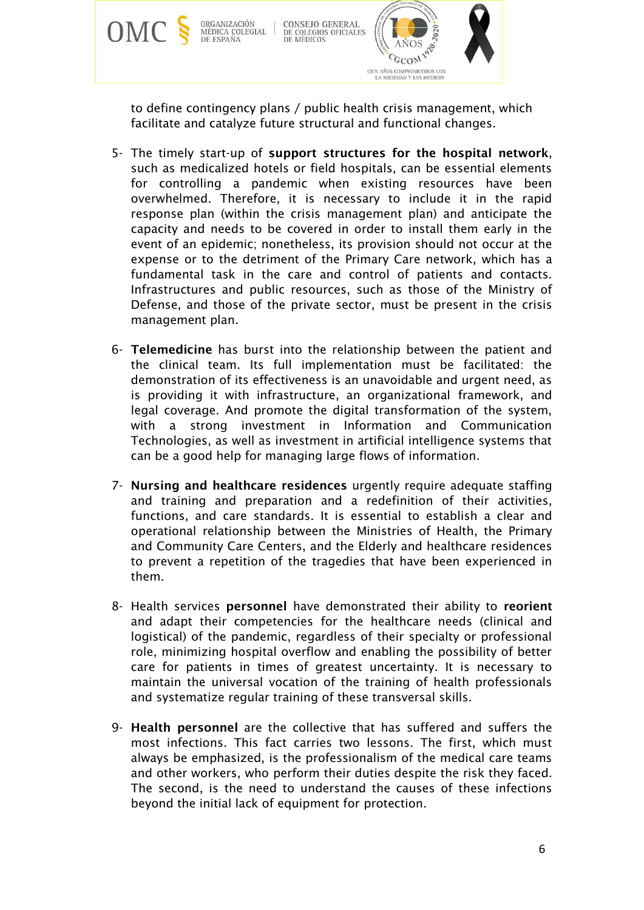

to define contingency plans / public health crisis management, which facilitate and catalyze future structural and functional changes.

- 5- The timely start-up of support structures for the hospital network, such as medicalized hotels or field hospitals, can be essential elements for controlling a pandemic when existing resources have been overwhelmed. Therefore, it is necessary to include it in the rapid response plan (within the crisis management plan) and anticipate the capacity and needs to be covered in order to install them early in the event of an epidemic; nonetheless, its provision should not occur at the expense or to the detriment of the Primary Care network, which has a fundamental task in the care and control of patients and contacts. Infrastructures and public resources, such as those of the Ministry of Defense, and those of the private sector, must be present in the crisis management plan.
- 6- Telemedicine has burst into the relationship between the patient and the clinical team. Its full implementation must be facilitated: the demonstration of its effectiveness is an unavoidable and urgent need, as is providing it with infrastructure, an organizational framework, and legal coverage. And promote the digital transformation of the system, with a strong investment in Information and Communication Technologies, as well as investment in artificial intelligence systems that can be a good help for managing large flows of information.
- 7- Nursing and healthcare residences urgently require adequate staffing and training and preparation and a redefinition of their activities, functions, and care standards. It is essential to establish a clear and operational relationship between the Ministries of Health, the Primary and Community Care Centers, and the Elderly and healthcare residences to prevent a repetition of the tragedies that have been experienced in them.
- 8- Health services personnel have demonstrated their ability to reorient and adapt their competencies for the healthcare needs (clinical and logistical) of the pandemic, regardless of their specialty or professional role, minimizing hospital overflow and enabling the possibility of better care for patients in times of greatest uncertainty. It is necessary to maintain the universal vocation of the training of health professionals and systematize regular training of these transversal skills.
- 9- Health personnel are the collective that has suffered and suffers the most infections. This fact carries two lessons. The first, which must always be emphasized, is the professionalism of the medical care teams and other workers, who perform their duties despite the risk they faced. The second, is the need to understand the causes of these infections beyond the initial lack of equipment for protection.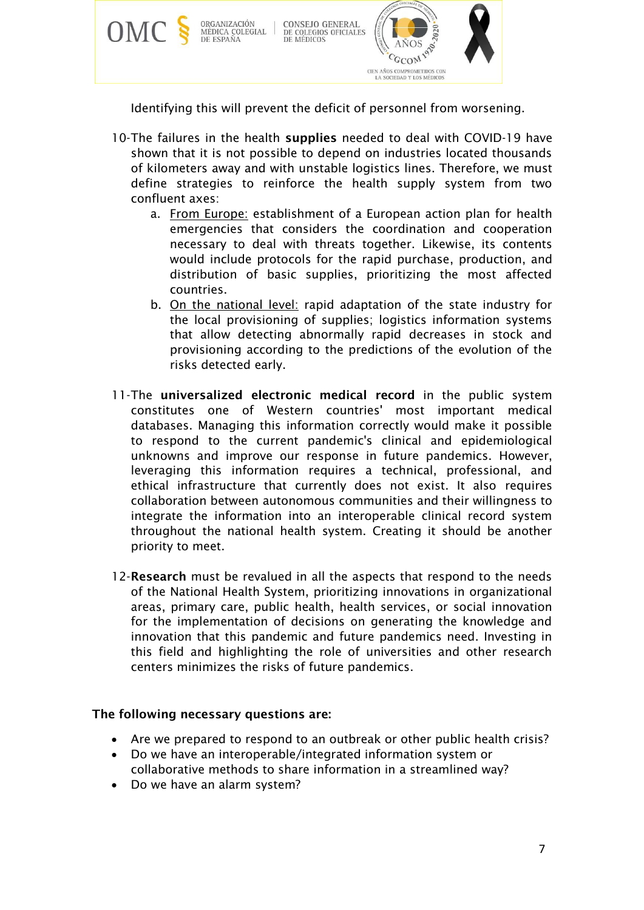

Identifying this will prevent the deficit of personnel from worsening.

- 10-The failures in the health supplies needed to deal with COVID-19 have shown that it is not possible to depend on industries located thousands of kilometers away and with unstable logistics lines. Therefore, we must define strategies to reinforce the health supply system from two confluent axes:
	- a. From Europe: establishment of a European action plan for health emergencies that considers the coordination and cooperation necessary to deal with threats together. Likewise, its contents would include protocols for the rapid purchase, production, and distribution of basic supplies, prioritizing the most affected countries.
	- b. On the national level: rapid adaptation of the state industry for the local provisioning of supplies; logistics information systems that allow detecting abnormally rapid decreases in stock and provisioning according to the predictions of the evolution of the risks detected early.
- 11-The universalized electronic medical record in the public system constitutes one of Western countries' most important medical databases. Managing this information correctly would make it possible to respond to the current pandemic's clinical and epidemiological unknowns and improve our response in future pandemics. However, leveraging this information requires a technical, professional, and ethical infrastructure that currently does not exist. It also requires collaboration between autonomous communities and their willingness to integrate the information into an interoperable clinical record system throughout the national health system. Creating it should be another priority to meet.
- 12-Research must be revalued in all the aspects that respond to the needs of the National Health System, prioritizing innovations in organizational areas, primary care, public health, health services, or social innovation for the implementation of decisions on generating the knowledge and innovation that this pandemic and future pandemics need. Investing in this field and highlighting the role of universities and other research centers minimizes the risks of future pandemics.

#### The following necessary questions are:

- Are we prepared to respond to an outbreak or other public health crisis?
- Do we have an interoperable/integrated information system or collaborative methods to share information in a streamlined way?
- Do we have an alarm system?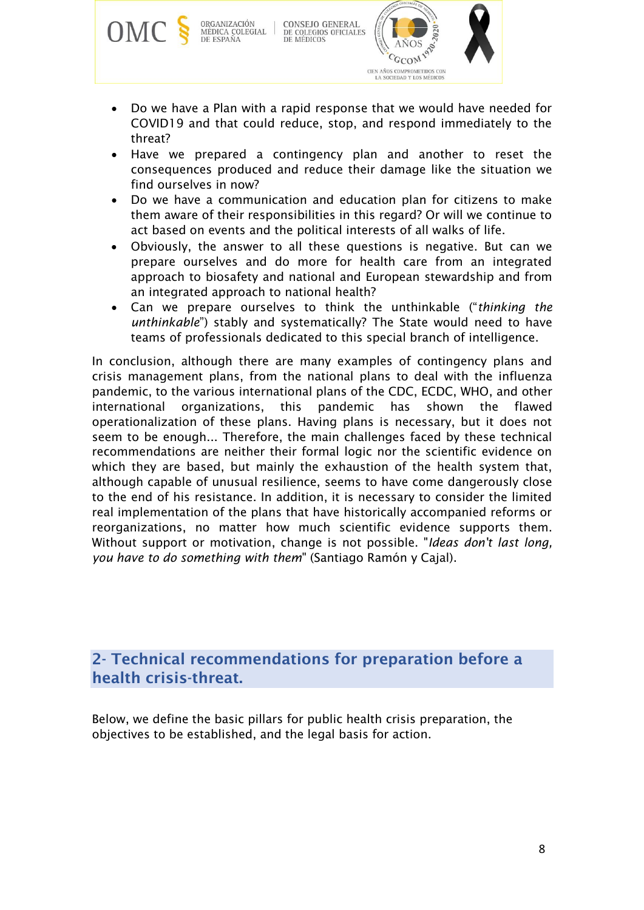

- Do we have a Plan with a rapid response that we would have needed for COVID19 and that could reduce, stop, and respond immediately to the threat?
- Have we prepared a contingency plan and another to reset the consequences produced and reduce their damage like the situation we find ourselves in now?
- Do we have a communication and education plan for citizens to make them aware of their responsibilities in this regard? Or will we continue to act based on events and the political interests of all walks of life.
- Obviously, the answer to all these questions is negative. But can we prepare ourselves and do more for health care from an integrated approach to biosafety and national and European stewardship and from an integrated approach to national health?
- Can we prepare ourselves to think the unthinkable ("*thinking the unthinkable*") stably and systematically? The State would need to have teams of professionals dedicated to this special branch of intelligence.

In conclusion, although there are many examples of contingency plans and crisis management plans, from the national plans to deal with the influenza pandemic, to the various international plans of the CDC, ECDC, WHO, and other international organizations, this pandemic has shown the flawed operationalization of these plans. Having plans is necessary, but it does not seem to be enough... Therefore, the main challenges faced by these technical recommendations are neither their formal logic nor the scientific evidence on which they are based, but mainly the exhaustion of the health system that, although capable of unusual resilience, seems to have come dangerously close to the end of his resistance. In addition, it is necessary to consider the limited real implementation of the plans that have historically accompanied reforms or reorganizations, no matter how much scientific evidence supports them. Without support or motivation, change is not possible. "*Ideas don't last long, you have to do something with them*" (Santiago Ramón y Cajal).

<span id="page-7-0"></span>2- Technical recommendations for preparation before a health crisis-threat.

Below, we define the basic pillars for public health crisis preparation, the objectives to be established, and the legal basis for action.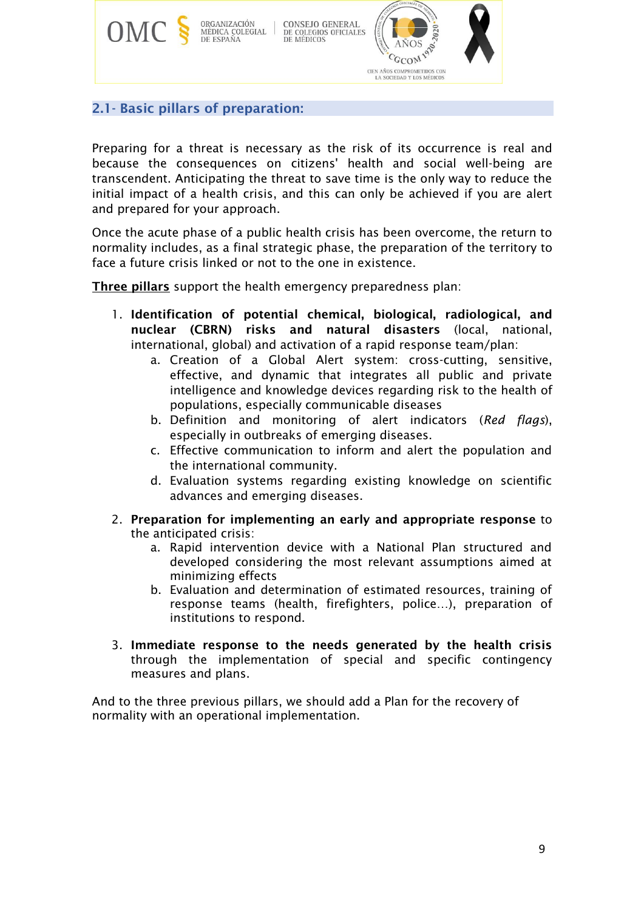

#### <span id="page-8-0"></span>2.1- Basic pillars of preparation:

Preparing for a threat is necessary as the risk of its occurrence is real and because the consequences on citizens' health and social well-being are transcendent. Anticipating the threat to save time is the only way to reduce the initial impact of a health crisis, and this can only be achieved if you are alert and prepared for your approach.

Once the acute phase of a public health crisis has been overcome, the return to normality includes, as a final strategic phase, the preparation of the territory to face a future crisis linked or not to the one in existence.

Three pillars support the health emergency preparedness plan:

- 1. Identification of potential chemical, biological, radiological, and nuclear (CBRN) risks and natural disasters (local, national, international, global) and activation of a rapid response team/plan:
	- a. Creation of a Global Alert system: cross-cutting, sensitive, effective, and dynamic that integrates all public and private intelligence and knowledge devices regarding risk to the health of populations, especially communicable diseases
	- b. Definition and monitoring of alert indicators (*Red flags*), especially in outbreaks of emerging diseases.
	- c. Effective communication to inform and alert the population and the international community.
	- d. Evaluation systems regarding existing knowledge on scientific advances and emerging diseases.
- 2. Preparation for implementing an early and appropriate response to the anticipated crisis:
	- a. Rapid intervention device with a National Plan structured and developed considering the most relevant assumptions aimed at minimizing effects
	- b. Evaluation and determination of estimated resources, training of response teams (health, firefighters, police…), preparation of institutions to respond.
- 3. Immediate response to the needs generated by the health crisis through the implementation of special and specific contingency measures and plans.

And to the three previous pillars, we should add a Plan for the recovery of normality with an operational implementation.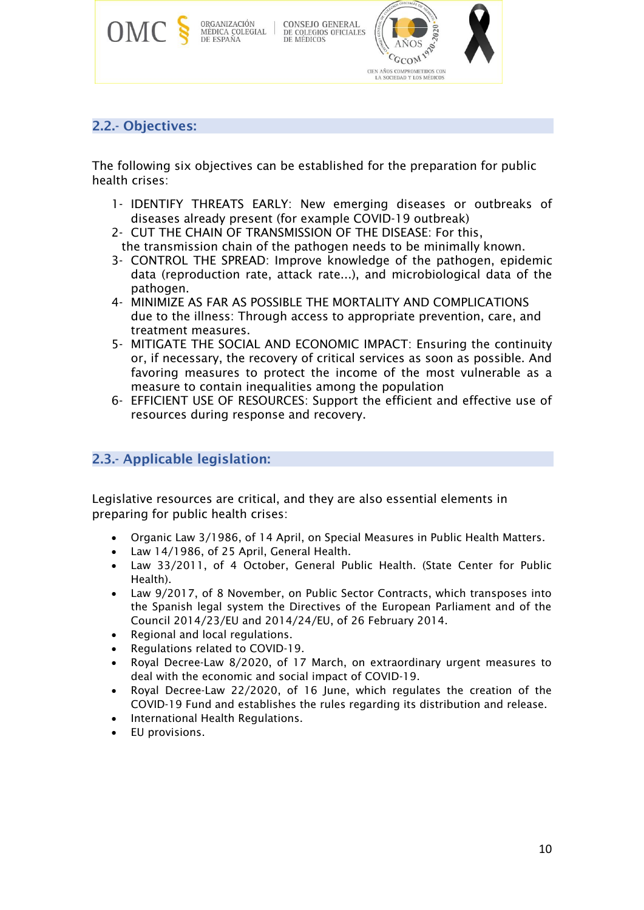

## <span id="page-9-0"></span>2.2.- Objectives:

The following six objectives can be established for the preparation for public health crises:

- 1- IDENTIFY THREATS EARLY: New emerging diseases or outbreaks of diseases already present (for example COVID-19 outbreak)
- 2- CUT THE CHAIN OF TRANSMISSION OF THE DISEASE: For this, the transmission chain of the pathogen needs to be minimally known.
- 3- CONTROL THE SPREAD: Improve knowledge of the pathogen, epidemic data (reproduction rate, attack rate...), and microbiological data of the pathogen.
- 4- MINIMIZE AS FAR AS POSSIBLE THE MORTALITY AND COMPLICATIONS due to the illness: Through access to appropriate prevention, care, and treatment measures.
- 5- MITIGATE THE SOCIAL AND ECONOMIC IMPACT: Ensuring the continuity or, if necessary, the recovery of critical services as soon as possible. And favoring measures to protect the income of the most vulnerable as a measure to contain inequalities among the population
- 6- EFFICIENT USE OF RESOURCES: Support the efficient and effective use of resources during response and recovery.

### <span id="page-9-1"></span>2.3.- Applicable legislation:

Legislative resources are critical, and they are also essential elements in preparing for public health crises:

- Organic Law 3/1986, of 14 April, on Special Measures in Public Health Matters.
- Law 14/1986, of 25 April, General Health.
- Law 33/2011, of 4 October, General Public Health. (State Center for Public Health).
- Law 9/2017, of 8 November, on Public Sector Contracts, which transposes into the Spanish legal system the Directives of the European Parliament and of the Council 2014/23/EU and 2014/24/EU, of 26 February 2014.
- Regional and local regulations.
- Regulations related to COVID-19.
- Royal Decree-Law 8/2020, of 17 March, on extraordinary urgent measures to deal with the economic and social impact of COVID-19.
- Royal Decree-Law 22/2020, of 16 June, which regulates the creation of the COVID-19 Fund and establishes the rules regarding its distribution and release.
- International Health Regulations.
- EU provisions.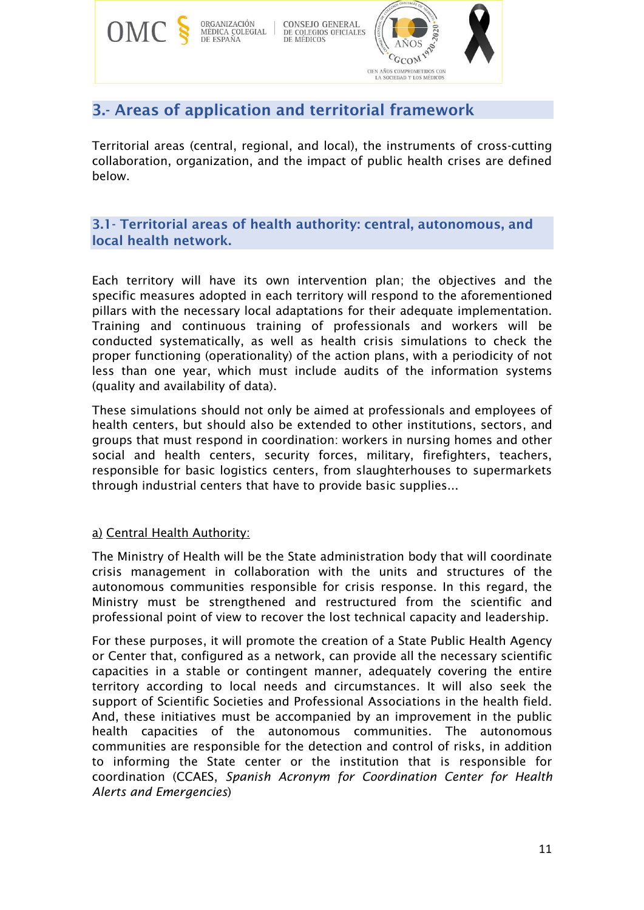

## <span id="page-10-0"></span>3.- Areas of application and territorial framework

Territorial areas (central, regional, and local), the instruments of cross-cutting collaboration, organization, and the impact of public health crises are defined below.

<span id="page-10-1"></span>3.1- Territorial areas of health authority: central, autonomous, and local health network.

Each territory will have its own intervention plan; the objectives and the specific measures adopted in each territory will respond to the aforementioned pillars with the necessary local adaptations for their adequate implementation. Training and continuous training of professionals and workers will be conducted systematically, as well as health crisis simulations to check the proper functioning (operationality) of the action plans, with a periodicity of not less than one year, which must include audits of the information systems (quality and availability of data).

These simulations should not only be aimed at professionals and employees of health centers, but should also be extended to other institutions, sectors, and groups that must respond in coordination: workers in nursing homes and other social and health centers, security forces, military, firefighters, teachers, responsible for basic logistics centers, from slaughterhouses to supermarkets through industrial centers that have to provide basic supplies...

#### a) Central Health Authority:

The Ministry of Health will be the State administration body that will coordinate crisis management in collaboration with the units and structures of the autonomous communities responsible for crisis response. In this regard, the Ministry must be strengthened and restructured from the scientific and professional point of view to recover the lost technical capacity and leadership.

For these purposes, it will promote the creation of a State Public Health Agency or Center that, configured as a network, can provide all the necessary scientific capacities in a stable or contingent manner, adequately covering the entire territory according to local needs and circumstances. It will also seek the support of Scientific Societies and Professional Associations in the health field. And, these initiatives must be accompanied by an improvement in the public health capacities of the autonomous communities. The autonomous communities are responsible for the detection and control of risks, in addition to informing the State center or the institution that is responsible for coordination (CCAES, *Spanish Acronym for Coordination Center for Health Alerts and Emergencies*)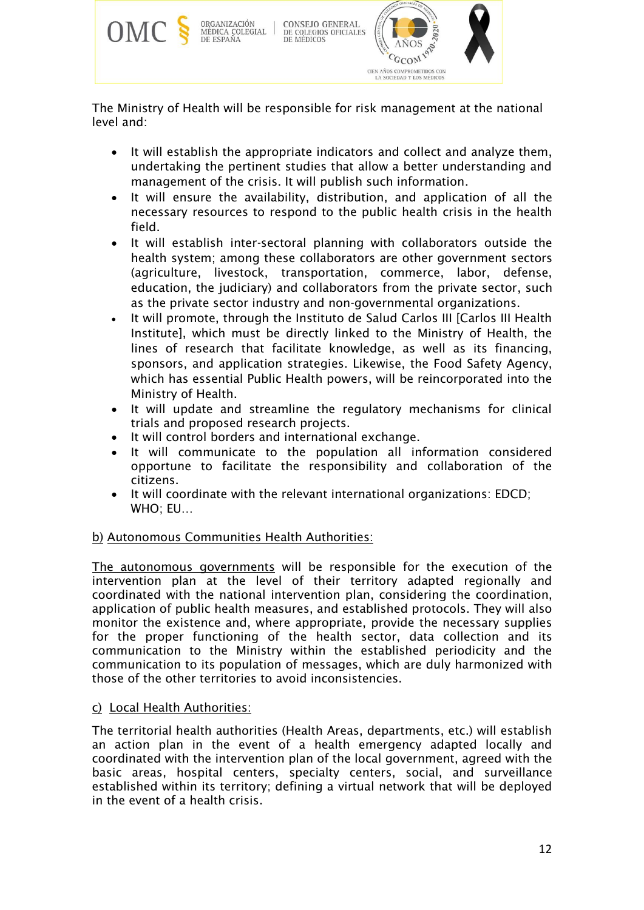

The Ministry of Health will be responsible for risk management at the national level and:

- It will establish the appropriate indicators and collect and analyze them, undertaking the pertinent studies that allow a better understanding and management of the crisis. It will publish such information.
- It will ensure the availability, distribution, and application of all the necessary resources to respond to the public health crisis in the health field.
- It will establish inter-sectoral planning with collaborators outside the health system; among these collaborators are other government sectors (agriculture, livestock, transportation, commerce, labor, defense, education, the judiciary) and collaborators from the private sector, such as the private sector industry and non-governmental organizations.
- It will promote, through the Instituto de Salud Carlos III [Carlos III Health] Institute], which must be directly linked to the Ministry of Health, the lines of research that facilitate knowledge, as well as its financing, sponsors, and application strategies. Likewise, the Food Safety Agency, which has essential Public Health powers, will be reincorporated into the Ministry of Health.
- It will update and streamline the regulatory mechanisms for clinical trials and proposed research projects.
- It will control borders and international exchange.
- It will communicate to the population all information considered opportune to facilitate the responsibility and collaboration of the citizens.
- It will coordinate with the relevant international organizations: EDCD; WHO; EU…

### b) Autonomous Communities Health Authorities:

The autonomous governments will be responsible for the execution of the intervention plan at the level of their territory adapted regionally and coordinated with the national intervention plan, considering the coordination, application of public health measures, and established protocols. They will also monitor the existence and, where appropriate, provide the necessary supplies for the proper functioning of the health sector, data collection and its communication to the Ministry within the established periodicity and the communication to its population of messages, which are duly harmonized with those of the other territories to avoid inconsistencies.

#### c) Local Health Authorities:

The territorial health authorities (Health Areas, departments, etc.) will establish an action plan in the event of a health emergency adapted locally and coordinated with the intervention plan of the local government, agreed with the basic areas, hospital centers, specialty centers, social, and surveillance established within its territory; defining a virtual network that will be deployed in the event of a health crisis.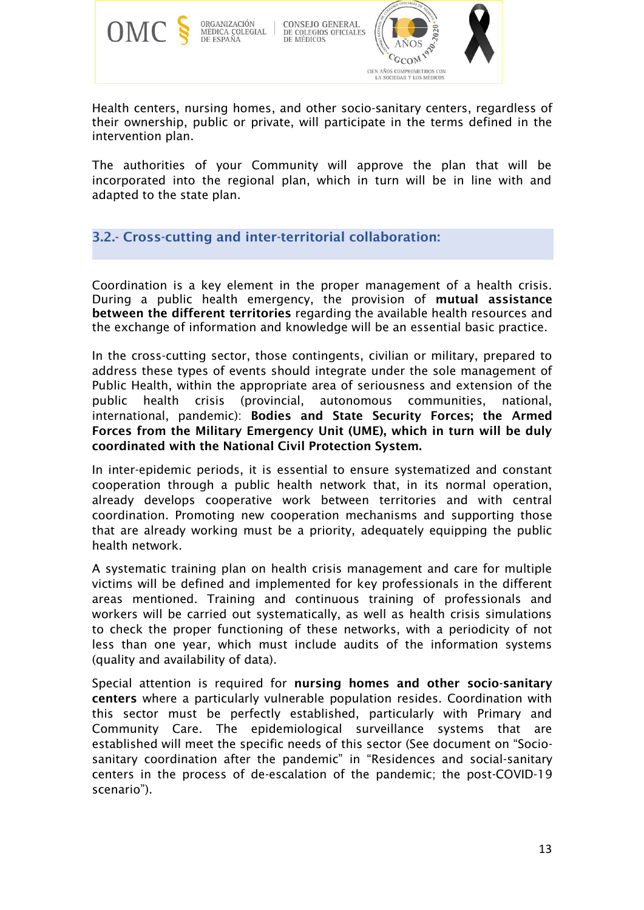

Health centers, nursing homes, and other socio-sanitary centers, regardless of their ownership, public or private, will participate in the terms defined in the intervention plan.

The authorities of your Community will approve the plan that will be incorporated into the regional plan, which in turn will be in line with and adapted to the state plan.

## <span id="page-12-0"></span>3.2.- Cross-cutting and inter-territorial collaboration:

Coordination is a key element in the proper management of a health crisis. During a public health emergency, the provision of mutual assistance between the different territories regarding the available health resources and the exchange of information and knowledge will be an essential basic practice.

In the cross-cutting sector, those contingents, civilian or military, prepared to address these types of events should integrate under the sole management of Public Health, within the appropriate area of seriousness and extension of the public health crisis (provincial, autonomous communities, national, international, pandemic): Bodies and State Security Forces; the Armed Forces from the Military Emergency Unit (UME), which in turn will be duly coordinated with the National Civil Protection System.

In inter-epidemic periods, it is essential to ensure systematized and constant cooperation through a public health network that, in its normal operation, already develops cooperative work between territories and with central coordination. Promoting new cooperation mechanisms and supporting those that are already working must be a priority, adequately equipping the public health network.

A systematic training plan on health crisis management and care for multiple victims will be defined and implemented for key professionals in the different areas mentioned. Training and continuous training of professionals and workers will be carried out systematically, as well as health crisis simulations to check the proper functioning of these networks, with a periodicity of not less than one year, which must include audits of the information systems (quality and availability of data).

Special attention is required for nursing homes and other socio-sanitary centers where a particularly vulnerable population resides. Coordination with this sector must be perfectly established, particularly with Primary and Community Care. The epidemiological surveillance systems that are established will meet the specific needs of this sector (See document on "Sociosanitary coordination after the pandemic" in "Residences and social-sanitary centers in the process of de-escalation of the pandemic; the post-COVID-19 scenario").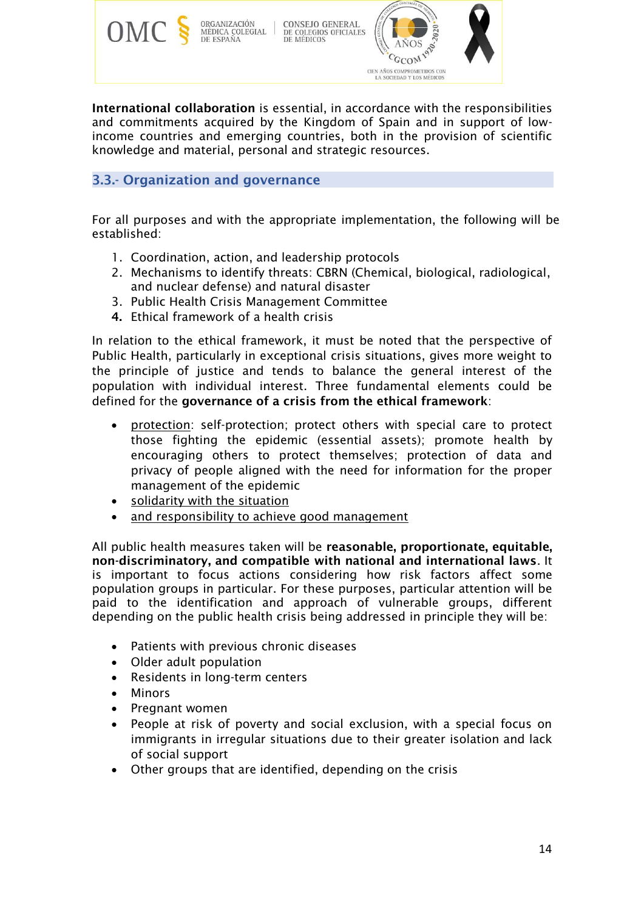

International collaboration is essential, in accordance with the responsibilities and commitments acquired by the Kingdom of Spain and in support of lowincome countries and emerging countries, both in the provision of scientific knowledge and material, personal and strategic resources.

## <span id="page-13-0"></span>3.3.- Organization and governance

For all purposes and with the appropriate implementation, the following will be established:

- 1. Coordination, action, and leadership protocols
- 2. Mechanisms to identify threats: CBRN (Chemical, biological, radiological, and nuclear defense) and natural disaster
- 3. Public Health Crisis Management Committee
- 4. Ethical framework of a health crisis

In relation to the ethical framework, it must be noted that the perspective of Public Health, particularly in exceptional crisis situations, gives more weight to the principle of justice and tends to balance the general interest of the population with individual interest. Three fundamental elements could be defined for the governance of a crisis from the ethical framework:

- protection: self-protection; protect others with special care to protect those fighting the epidemic (essential assets); promote health by encouraging others to protect themselves; protection of data and privacy of people aligned with the need for information for the proper management of the epidemic
- solidarity with the situation
- and responsibility to achieve good management

All public health measures taken will be reasonable, proportionate, equitable, non-discriminatory, and compatible with national and international laws. It is important to focus actions considering how risk factors affect some population groups in particular. For these purposes, particular attention will be paid to the identification and approach of vulnerable groups, different depending on the public health crisis being addressed in principle they will be:

- Patients with previous chronic diseases
- Older adult population
- Residents in long-term centers
- Minors
- Pregnant women
- People at risk of poverty and social exclusion, with a special focus on immigrants in irregular situations due to their greater isolation and lack of social support
- Other groups that are identified, depending on the crisis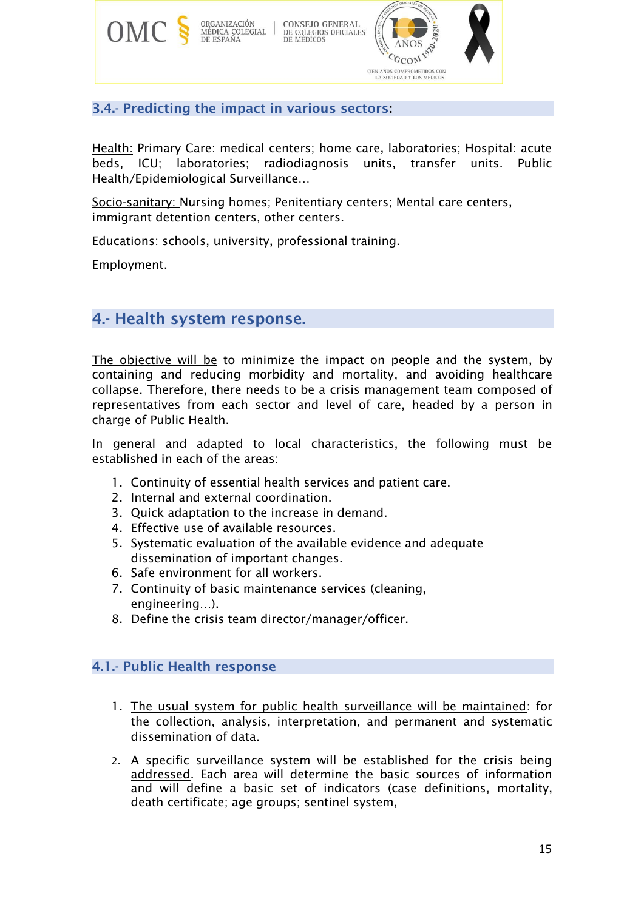

## <span id="page-14-0"></span>3.4.- Predicting the impact in various sectors:

Health: Primary Care: medical centers; home care, laboratories; Hospital: acute beds, ICU; laboratories; radiodiagnosis units, transfer units. Public Health/Epidemiological Surveillance…

Socio-sanitary: Nursing homes; Penitentiary centers; Mental care centers, immigrant detention centers, other centers.

Educations: schools, university, professional training.

Employment.

## <span id="page-14-1"></span>4.- Health system response.

The objective will be to minimize the impact on people and the system, by containing and reducing morbidity and mortality, and avoiding healthcare collapse. Therefore, there needs to be a crisis management team composed of representatives from each sector and level of care, headed by a person in charge of Public Health.

In general and adapted to local characteristics, the following must be established in each of the areas:

- 1. Continuity of essential health services and patient care.
- 2. Internal and external coordination.
- 3. Quick adaptation to the increase in demand.
- 4. Effective use of available resources.
- 5. Systematic evaluation of the available evidence and adequate dissemination of important changes.
- 6. Safe environment for all workers.
- 7. Continuity of basic maintenance services (cleaning, engineering…).
- 8. Define the crisis team director/manager/officer.

#### <span id="page-14-2"></span>4.1.- Public Health response

- 1. The usual system for public health surveillance will be maintained: for the collection, analysis, interpretation, and permanent and systematic dissemination of data.
- 2. A specific surveillance system will be established for the crisis being addressed. Each area will determine the basic sources of information and will define a basic set of indicators (case definitions, mortality, death certificate; age groups; sentinel system,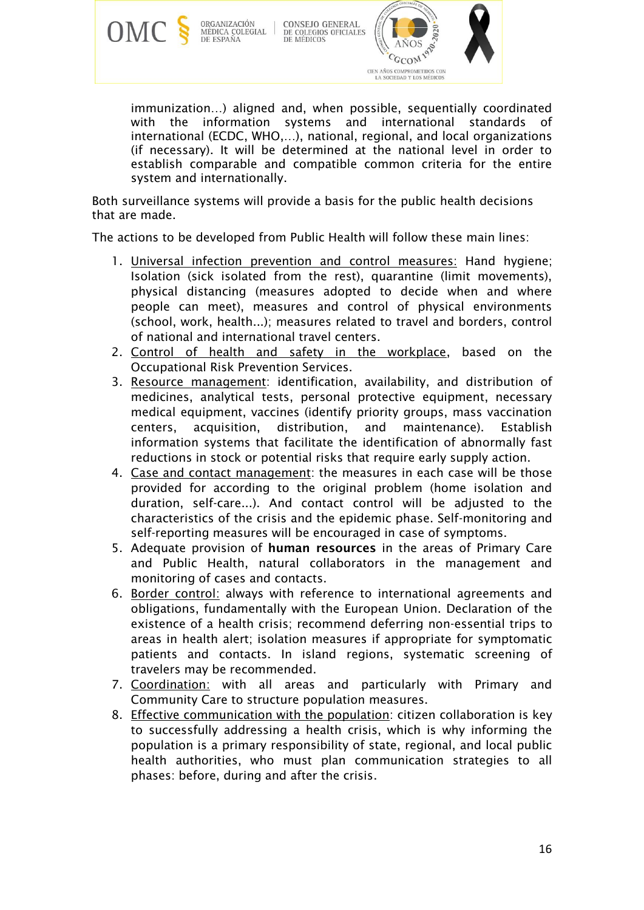

OMC

immunization…) aligned and, when possible, sequentially coordinated with the information systems and international standards of international (ECDC, WHO,…), national, regional, and local organizations (if necessary). It will be determined at the national level in order to establish comparable and compatible common criteria for the entire system and internationally.

Both surveillance systems will provide a basis for the public health decisions that are made.

The actions to be developed from Public Health will follow these main lines:

- 1. Universal infection prevention and control measures: Hand hygiene; Isolation (sick isolated from the rest), quarantine (limit movements), physical distancing (measures adopted to decide when and where people can meet), measures and control of physical environments (school, work, health...); measures related to travel and borders, control of national and international travel centers.
- 2. Control of health and safety in the workplace, based on the Occupational Risk Prevention Services.
- 3. Resource management: identification, availability, and distribution of medicines, analytical tests, personal protective equipment, necessary medical equipment, vaccines (identify priority groups, mass vaccination centers, acquisition, distribution, and maintenance). Establish information systems that facilitate the identification of abnormally fast reductions in stock or potential risks that require early supply action.
- 4. Case and contact management: the measures in each case will be those provided for according to the original problem (home isolation and duration, self-care...). And contact control will be adjusted to the characteristics of the crisis and the epidemic phase. Self-monitoring and self-reporting measures will be encouraged in case of symptoms.
- 5. Adequate provision of human resources in the areas of Primary Care and Public Health, natural collaborators in the management and monitoring of cases and contacts.
- 6. Border control: always with reference to international agreements and obligations, fundamentally with the European Union. Declaration of the existence of a health crisis; recommend deferring non-essential trips to areas in health alert; isolation measures if appropriate for symptomatic patients and contacts. In island regions, systematic screening of travelers may be recommended.
- 7. Coordination: with all areas and particularly with Primary and Community Care to structure population measures.
- 8. Effective communication with the population: citizen collaboration is key to successfully addressing a health crisis, which is why informing the population is a primary responsibility of state, regional, and local public health authorities, who must plan communication strategies to all phases: before, during and after the crisis.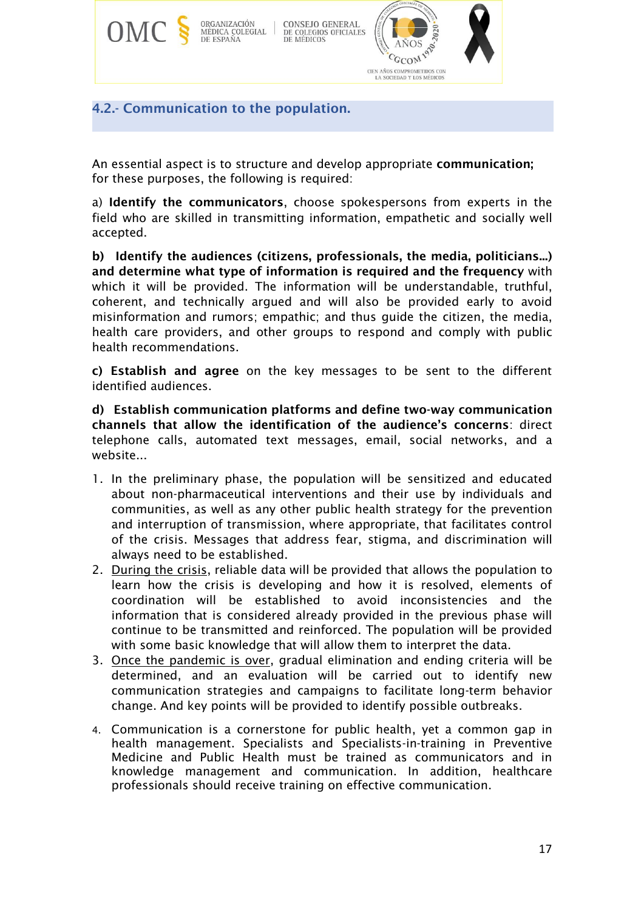

## <span id="page-16-0"></span>4.2.- Communication to the population.

An essential aspect is to structure and develop appropriate communication; for these purposes, the following is required:

a) Identify the communicators, choose spokespersons from experts in the field who are skilled in transmitting information, empathetic and socially well accepted.

b) Identify the audiences (citizens, professionals, the media, politicians...) and determine what type of information is required and the frequency with which it will be provided. The information will be understandable, truthful, coherent, and technically argued and will also be provided early to avoid misinformation and rumors; empathic; and thus guide the citizen, the media, health care providers, and other groups to respond and comply with public health recommendations.

c) Establish and agree on the key messages to be sent to the different identified audiences.

d) Establish communication platforms and define two-way communication channels that allow the identification of the audience's concerns: direct telephone calls, automated text messages, email, social networks, and a website...

- 1. In the preliminary phase, the population will be sensitized and educated about non-pharmaceutical interventions and their use by individuals and communities, as well as any other public health strategy for the prevention and interruption of transmission, where appropriate, that facilitates control of the crisis. Messages that address fear, stigma, and discrimination will always need to be established.
- 2. During the crisis, reliable data will be provided that allows the population to learn how the crisis is developing and how it is resolved, elements of coordination will be established to avoid inconsistencies and the information that is considered already provided in the previous phase will continue to be transmitted and reinforced. The population will be provided with some basic knowledge that will allow them to interpret the data.
- 3. Once the pandemic is over, gradual elimination and ending criteria will be determined, and an evaluation will be carried out to identify new communication strategies and campaigns to facilitate long-term behavior change. And key points will be provided to identify possible outbreaks.
- 4. Communication is a cornerstone for public health, yet a common gap in health management. Specialists and Specialists-in-training in Preventive Medicine and Public Health must be trained as communicators and in knowledge management and communication. In addition, healthcare professionals should receive training on effective communication.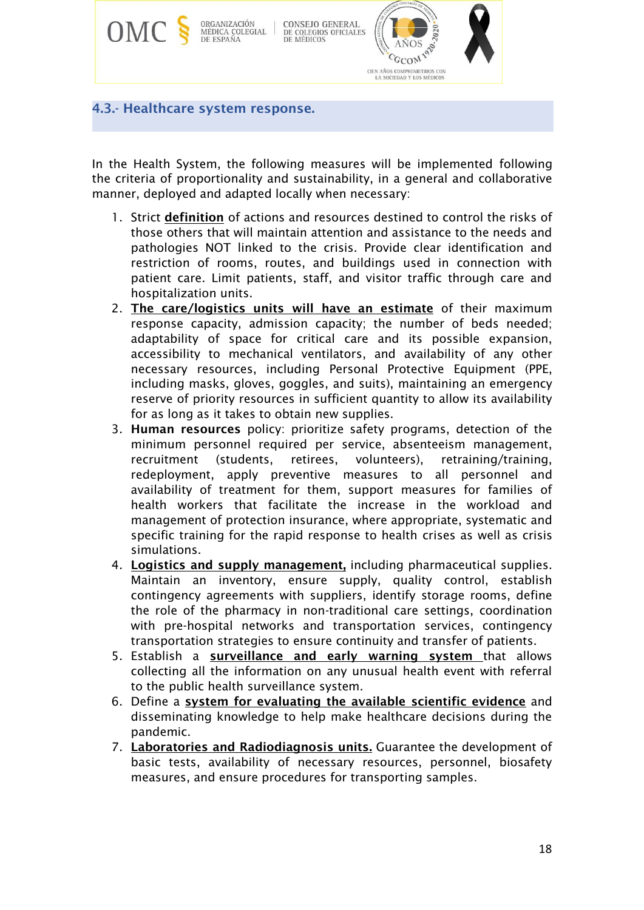

<span id="page-17-0"></span>In the Health System, the following measures will be implemented following the criteria of proportionality and sustainability, in a general and collaborative manner, deployed and adapted locally when necessary:

- 1. Strict definition of actions and resources destined to control the risks of those others that will maintain attention and assistance to the needs and pathologies NOT linked to the crisis. Provide clear identification and restriction of rooms, routes, and buildings used in connection with patient care. Limit patients, staff, and visitor traffic through care and hospitalization units.
- 2. The care/logistics units will have an estimate of their maximum response capacity, admission capacity; the number of beds needed; adaptability of space for critical care and its possible expansion, accessibility to mechanical ventilators, and availability of any other necessary resources, including Personal Protective Equipment (PPE, including masks, gloves, goggles, and suits), maintaining an emergency reserve of priority resources in sufficient quantity to allow its availability for as long as it takes to obtain new supplies.
- 3. Human resources policy: prioritize safety programs, detection of the minimum personnel required per service, absenteeism management, recruitment (students, retirees, volunteers), retraining/training, redeployment, apply preventive measures to all personnel and availability of treatment for them, support measures for families of health workers that facilitate the increase in the workload and management of protection insurance, where appropriate, systematic and specific training for the rapid response to health crises as well as crisis simulations.
- 4. Logistics and supply management, including pharmaceutical supplies. Maintain an inventory, ensure supply, quality control, establish contingency agreements with suppliers, identify storage rooms, define the role of the pharmacy in non-traditional care settings, coordination with pre-hospital networks and transportation services, contingency transportation strategies to ensure continuity and transfer of patients.
- 5. Establish a surveillance and early warning system that allows collecting all the information on any unusual health event with referral to the public health surveillance system.
- 6. Define a **system for evaluating the available scientific evidence** and disseminating knowledge to help make healthcare decisions during the pandemic.
- 7. Laboratories and Radiodiagnosis units. Guarantee the development of basic tests, availability of necessary resources, personnel, biosafety measures, and ensure procedures for transporting samples.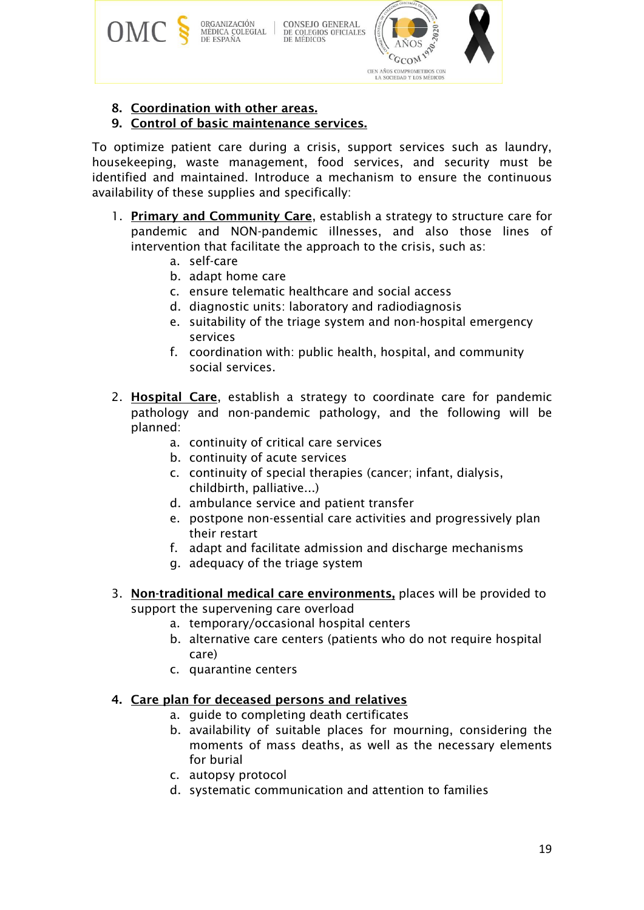

8. Coordination with other areas.

#### 9. Control of basic maintenance services.

To optimize patient care during a crisis, support services such as laundry, housekeeping, waste management, food services, and security must be identified and maintained. Introduce a mechanism to ensure the continuous availability of these supplies and specifically:

- 1. Primary and Community Care, establish a strategy to structure care for pandemic and NON-pandemic illnesses, and also those lines of intervention that facilitate the approach to the crisis, such as:
	- a. self-care
	- b. adapt home care
	- c. ensure telematic healthcare and social access
	- d. diagnostic units: laboratory and radiodiagnosis
	- e. suitability of the triage system and non-hospital emergency services
	- f. coordination with: public health, hospital, and community social services.
- 2. Hospital Care, establish a strategy to coordinate care for pandemic pathology and non-pandemic pathology, and the following will be planned:
	- a. continuity of critical care services
	- b. continuity of acute services
	- c. continuity of special therapies (cancer; infant, dialysis, childbirth, palliative...)
	- d. ambulance service and patient transfer
	- e. postpone non-essential care activities and progressively plan their restart
	- f. adapt and facilitate admission and discharge mechanisms
	- g. adequacy of the triage system
- 3. Non-traditional medical care environments, places will be provided to support the supervening care overload
	- a. temporary/occasional hospital centers
	- b. alternative care centers (patients who do not require hospital care)
	- c. quarantine centers

### 4. Care plan for deceased persons and relatives

- a. guide to completing death certificates
- b. availability of suitable places for mourning, considering the moments of mass deaths, as well as the necessary elements for burial
- c. autopsy protocol
- d. systematic communication and attention to families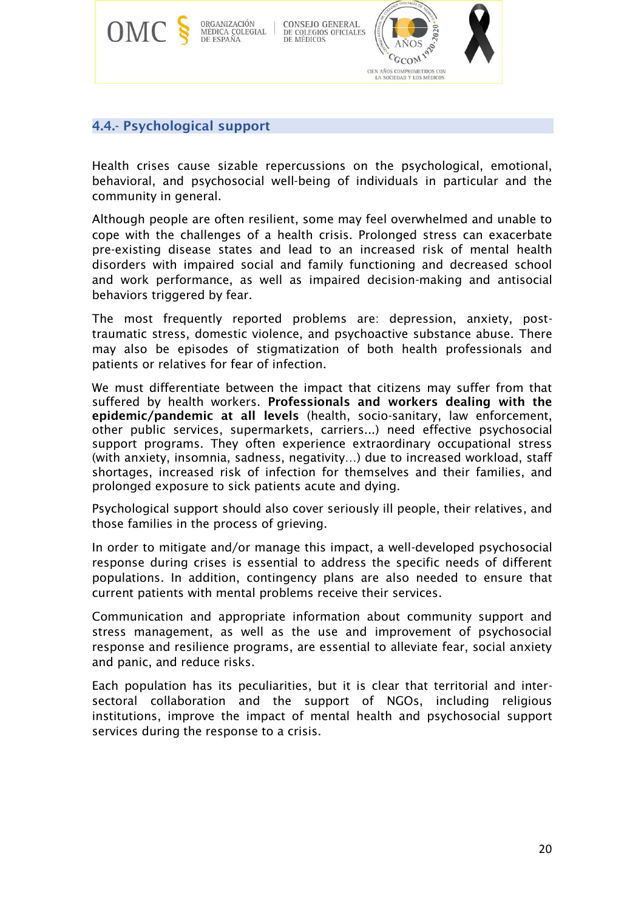

### <span id="page-19-0"></span>4.4.- Psychological support

Health crises cause sizable repercussions on the psychological, emotional, behavioral, and psychosocial well-being of individuals in particular and the community in general.

Although people are often resilient, some may feel overwhelmed and unable to cope with the challenges of a health crisis. Prolonged stress can exacerbate pre-existing disease states and lead to an increased risk of mental health disorders with impaired social and family functioning and decreased school and work performance, as well as impaired decision-making and antisocial behaviors triggered by fear.

The most frequently reported problems are: depression, anxiety, posttraumatic stress, domestic violence, and psychoactive substance abuse. There may also be episodes of stigmatization of both health professionals and patients or relatives for fear of infection.

We must differentiate between the impact that citizens may suffer from that suffered by health workers. Professionals and workers dealing with the epidemic/pandemic at all levels (health, socio-sanitary, law enforcement, other public services, supermarkets, carriers...) need effective psychosocial support programs. They often experience extraordinary occupational stress (with anxiety, insomnia, sadness, negativity…) due to increased workload, staff shortages, increased risk of infection for themselves and their families, and prolonged exposure to sick patients acute and dying.

Psychological support should also cover seriously ill people, their relatives, and those families in the process of grieving.

In order to mitigate and/or manage this impact, a well-developed psychosocial response during crises is essential to address the specific needs of different populations. In addition, contingency plans are also needed to ensure that current patients with mental problems receive their services.

Communication and appropriate information about community support and stress management, as well as the use and improvement of psychosocial response and resilience programs, are essential to alleviate fear, social anxiety and panic, and reduce risks.

Each population has its peculiarities, but it is clear that territorial and intersectoral collaboration and the support of NGOs, including religious institutions, improve the impact of mental health and psychosocial support services during the response to a crisis.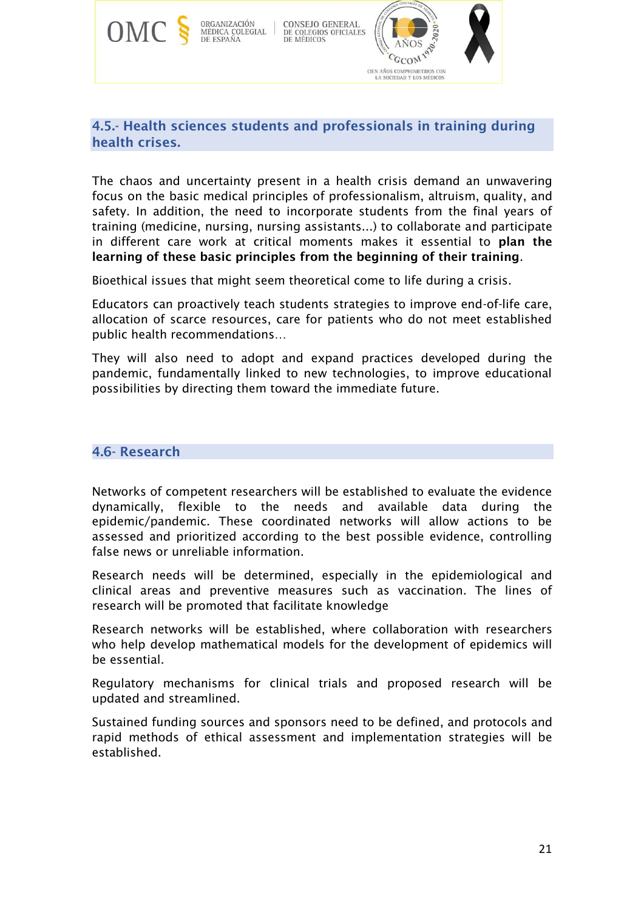

## <span id="page-20-0"></span>4.5.- Health sciences students and professionals in training during health crises.

The chaos and uncertainty present in a health crisis demand an unwavering focus on the basic medical principles of professionalism, altruism, quality, and safety. In addition, the need to incorporate students from the final years of training (medicine, nursing, nursing assistants...) to collaborate and participate in different care work at critical moments makes it essential to plan the learning of these basic principles from the beginning of their training.

Bioethical issues that might seem theoretical come to life during a crisis.

Educators can proactively teach students strategies to improve end-of-life care, allocation of scarce resources, care for patients who do not meet established public health recommendations…

They will also need to adopt and expand practices developed during the pandemic, fundamentally linked to new technologies, to improve educational possibilities by directing them toward the immediate future.

#### <span id="page-20-1"></span>4.6- Research

Networks of competent researchers will be established to evaluate the evidence dynamically, flexible to the needs and available data during the epidemic/pandemic. These coordinated networks will allow actions to be assessed and prioritized according to the best possible evidence, controlling false news or unreliable information.

Research needs will be determined, especially in the epidemiological and clinical areas and preventive measures such as vaccination. The lines of research will be promoted that facilitate knowledge

Research networks will be established, where collaboration with researchers who help develop mathematical models for the development of epidemics will be essential.

Regulatory mechanisms for clinical trials and proposed research will be updated and streamlined.

Sustained funding sources and sponsors need to be defined, and protocols and rapid methods of ethical assessment and implementation strategies will be established.